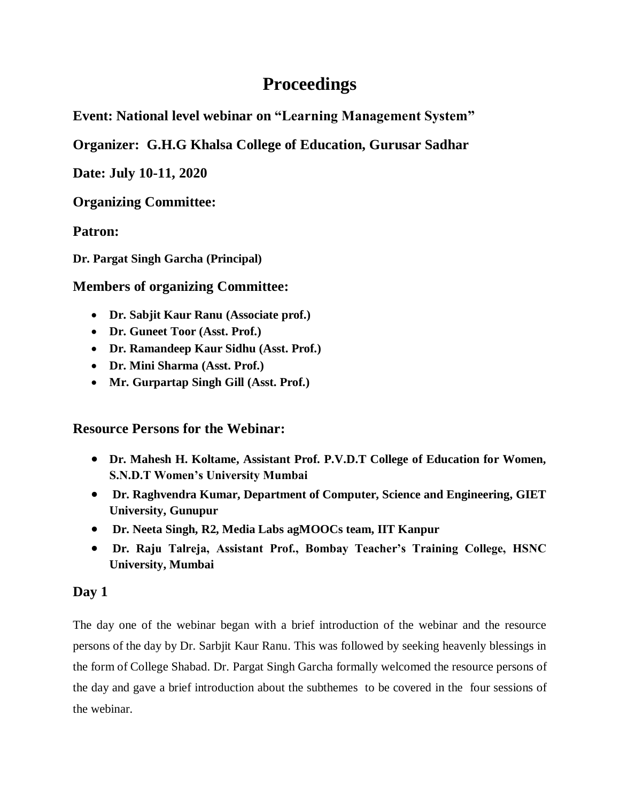# **Proceedings**

**Event: National level webinar on "Learning Management System"** 

**Organizer: G.H.G Khalsa College of Education, Gurusar Sadhar** 

**Date: July 10-11, 2020**

**Organizing Committee:** 

**Patron:**

**Dr. Pargat Singh Garcha (Principal)**

## **Members of organizing Committee:**

- **Dr. Sabjit Kaur Ranu (Associate prof.)**
- **Dr. Guneet Toor (Asst. Prof.)**
- **Dr. Ramandeep Kaur Sidhu (Asst. Prof.)**
- **Dr. Mini Sharma (Asst. Prof.)**
- **Mr. Gurpartap Singh Gill (Asst. Prof.)**

**Resource Persons for the Webinar:**

- **Dr. Mahesh H. Koltame, Assistant Prof. P.V.D.T College of Education for Women, S.N.D.T Women's University Mumbai**
- **Dr. Raghvendra Kumar, Department of Computer, Science and Engineering, GIET University, Gunupur**
- **Dr. Neeta Singh, R2, Media Labs agMOOCs team, IIT Kanpur**
- **Dr. Raju Talreja, Assistant Prof., Bombay Teacher's Training College, HSNC University, Mumbai**

## **Day 1**

The day one of the webinar began with a brief introduction of the webinar and the resource persons of the day by Dr. Sarbjit Kaur Ranu. This was followed by seeking heavenly blessings in the form of College Shabad. Dr. Pargat Singh Garcha formally welcomed the resource persons of the day and gave a brief introduction about the subthemes to be covered in the four sessions of the webinar.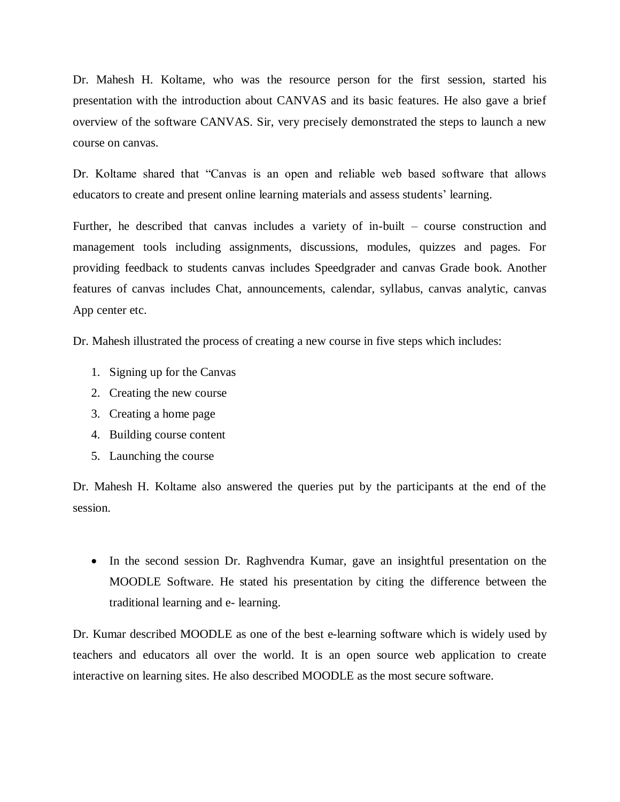Dr. Mahesh H. Koltame, who was the resource person for the first session, started his presentation with the introduction about CANVAS and its basic features. He also gave a brief overview of the software CANVAS. Sir, very precisely demonstrated the steps to launch a new course on canvas.

Dr. Koltame shared that "Canvas is an open and reliable web based software that allows educators to create and present online learning materials and assess students' learning.

Further, he described that canvas includes a variety of in-built – course construction and management tools including assignments, discussions, modules, quizzes and pages. For providing feedback to students canvas includes Speedgrader and canvas Grade book. Another features of canvas includes Chat, announcements, calendar, syllabus, canvas analytic, canvas App center etc.

Dr. Mahesh illustrated the process of creating a new course in five steps which includes:

- 1. Signing up for the Canvas
- 2. Creating the new course
- 3. Creating a home page
- 4. Building course content
- 5. Launching the course

Dr. Mahesh H. Koltame also answered the queries put by the participants at the end of the session.

 In the second session Dr. Raghvendra Kumar, gave an insightful presentation on the MOODLE Software. He stated his presentation by citing the difference between the traditional learning and e- learning.

Dr. Kumar described MOODLE as one of the best e-learning software which is widely used by teachers and educators all over the world. It is an open source web application to create interactive on learning sites. He also described MOODLE as the most secure software.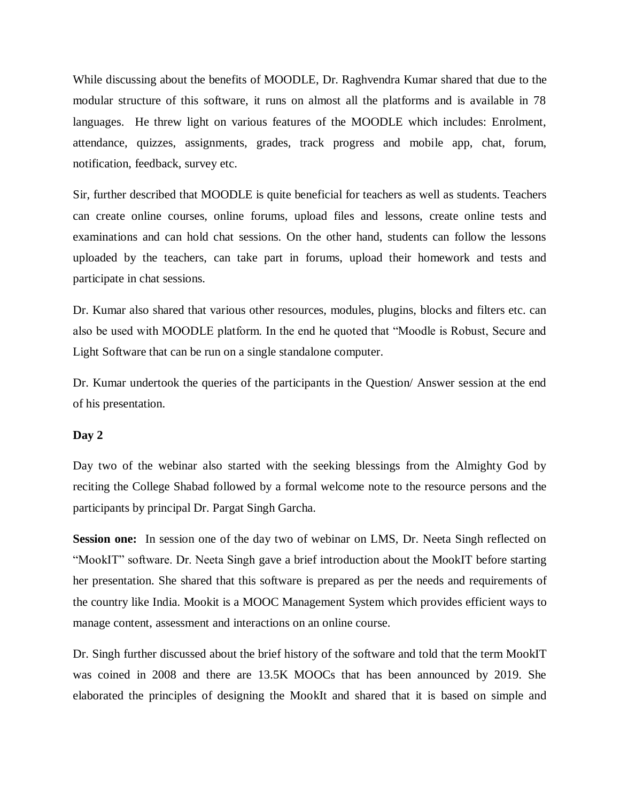While discussing about the benefits of MOODLE, Dr. Raghvendra Kumar shared that due to the modular structure of this software, it runs on almost all the platforms and is available in 78 languages. He threw light on various features of the MOODLE which includes: Enrolment, attendance, quizzes, assignments, grades, track progress and mobile app, chat, forum, notification, feedback, survey etc.

Sir, further described that MOODLE is quite beneficial for teachers as well as students. Teachers can create online courses, online forums, upload files and lessons, create online tests and examinations and can hold chat sessions. On the other hand, students can follow the lessons uploaded by the teachers, can take part in forums, upload their homework and tests and participate in chat sessions.

Dr. Kumar also shared that various other resources, modules, plugins, blocks and filters etc. can also be used with MOODLE platform. In the end he quoted that "Moodle is Robust, Secure and Light Software that can be run on a single standalone computer.

Dr. Kumar undertook the queries of the participants in the Question/ Answer session at the end of his presentation.

#### **Day 2**

Day two of the webinar also started with the seeking blessings from the Almighty God by reciting the College Shabad followed by a formal welcome note to the resource persons and the participants by principal Dr. Pargat Singh Garcha.

**Session one:** In session one of the day two of webinar on LMS, Dr. Neeta Singh reflected on "MookIT" software. Dr. Neeta Singh gave a brief introduction about the MookIT before starting her presentation. She shared that this software is prepared as per the needs and requirements of the country like India. Mookit is a MOOC Management System which provides efficient ways to manage content, assessment and interactions on an online course.

Dr. Singh further discussed about the brief history of the software and told that the term MookIT was coined in 2008 and there are 13.5K MOOCs that has been announced by 2019. She elaborated the principles of designing the MookIt and shared that it is based on simple and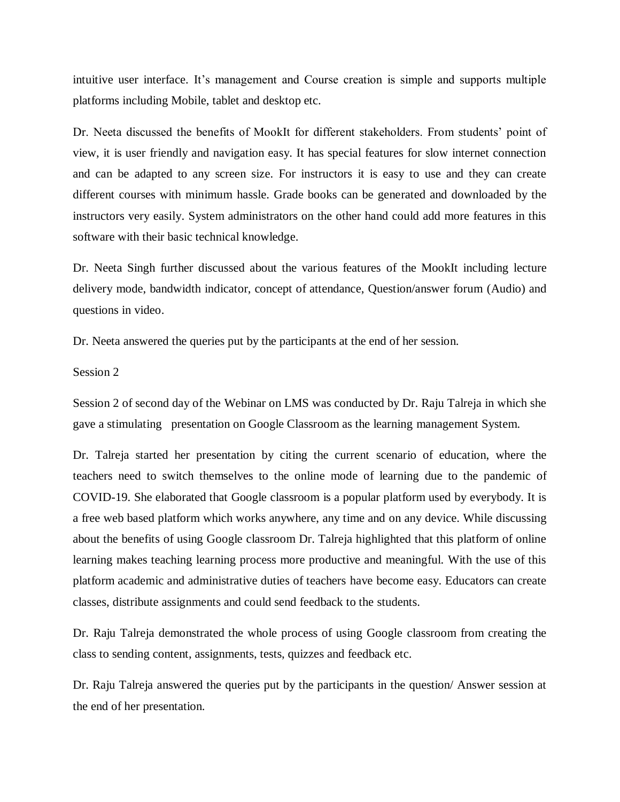intuitive user interface. It's management and Course creation is simple and supports multiple platforms including Mobile, tablet and desktop etc.

Dr. Neeta discussed the benefits of MookIt for different stakeholders. From students' point of view, it is user friendly and navigation easy. It has special features for slow internet connection and can be adapted to any screen size. For instructors it is easy to use and they can create different courses with minimum hassle. Grade books can be generated and downloaded by the instructors very easily. System administrators on the other hand could add more features in this software with their basic technical knowledge.

Dr. Neeta Singh further discussed about the various features of the MookIt including lecture delivery mode, bandwidth indicator, concept of attendance, Question/answer forum (Audio) and questions in video.

Dr. Neeta answered the queries put by the participants at the end of her session.

#### Session 2

Session 2 of second day of the Webinar on LMS was conducted by Dr. Raju Talreja in which she gave a stimulating presentation on Google Classroom as the learning management System.

Dr. Talreja started her presentation by citing the current scenario of education, where the teachers need to switch themselves to the online mode of learning due to the pandemic of COVID-19. She elaborated that Google classroom is a popular platform used by everybody. It is a free web based platform which works anywhere, any time and on any device. While discussing about the benefits of using Google classroom Dr. Talreja highlighted that this platform of online learning makes teaching learning process more productive and meaningful. With the use of this platform academic and administrative duties of teachers have become easy. Educators can create classes, distribute assignments and could send feedback to the students.

Dr. Raju Talreja demonstrated the whole process of using Google classroom from creating the class to sending content, assignments, tests, quizzes and feedback etc.

Dr. Raju Talreja answered the queries put by the participants in the question/ Answer session at the end of her presentation.